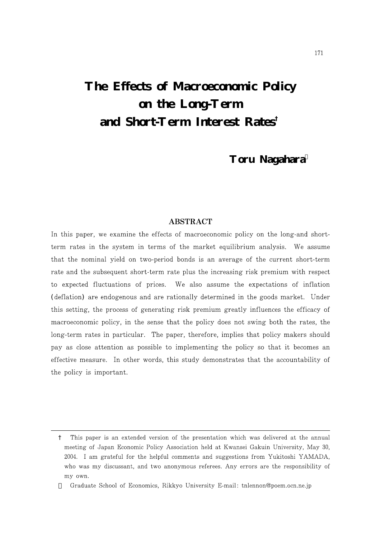# **The Effects of Macroeconomic Policy on the Long-Term and Short-Term Interest Rates†**

# **Toru Nagahara**

# **ABSTRACT**

In this paper, we examine the effects of macroeconomic policy on the long-and shortterm rates in the system in terms of the market equilibrium analysis. We assume that the nominal yield on two-period bonds is an average of the current short-term rate and the subsequent short-term rate plus the increasing risk premium with respect to expected fluctuations of prices. We also assume the expectations of inflation (deflation) are endogenous and are rationally determined in the goods market. Under this setting, the process of generating risk premium greatly influences the efficacy of macroeconomic policy, in the sense that the policy does not swing both the rates, the long-term rates in particular. The paper, therefore, implies that policy makers should pay as close attention as possible to implementing the policy so that it becomes an effective measure. In other words, this study demonstrates that the accountability of the policy is important.

<sup>†</sup> This paper is an extended version of the presentation which was delivered at the annual meeting of Japan Economic Policy Association held at Kwansei Gakuin University, May 30, 2004. I am grateful for the helpful comments and suggestions from Yukitoshi YAMADA, who was my discussant, and two anonymous referees. Any errors are the responsibility of my own.

Graduate School of Economics, Rikkyo University E-mail: tnlennon@poem.ocn.ne.jp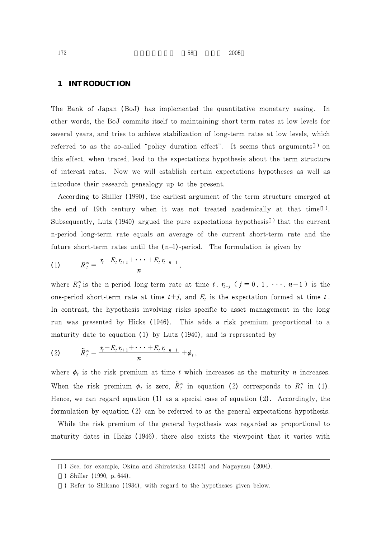#### **1 INTRODUCTION**

The Bank of Japan (BoJ) has implemented the quantitative monetary easing. In other words, the BoJ commits itself to maintaining short-term rates at low levels for several years, and tries to achieve stabilization of long-term rates at low levels, which referred to as the so-called "policy duration effect". It seems that arguments  $\prime$  on this effect, when traced, lead to the expectations hypothesis about the term structure of interest rates. Now we will establish certain expectations hypotheses as well as introduce their research genealogy up to the present.

According to Shiller (1990), the earliest argument of the term structure emerged at the end of 19th century when it was not treated academically at that time  $\ell$ . Subsequently, Lutz (1940) argued the pure expectations hypothesis  $\ell$  that the current n-period long-term rate equals an average of the current short-term rate and the future short-term rates until the  $(n\ 1)$ -period. The formulation is given by

(1) 
$$
R_t^n = \frac{r_t + E_t r_{t+1} + \cdots + E_t r_{t+n-1}}{n},
$$

where  $R_t^n$  is the n-period long-term rate at time t,  $r_{t+j}$  ( $j=0, 1, \dots, n-1$ ) is the one-period short-term rate at time  $t+j$ , and  $E_t$  is the expectation formed at time t. In contrast, the hypothesis involving risks specific to asset management in the long run was presented by Hicks (1946). This adds a risk premium proportional to a maturity date to equation (1) by Lutz  $(1940)$ , and is represented by

(2) 
$$
\widetilde{R}_{t}^{n} = \frac{r_{t} + E_{t} r_{t+1} + \cdots + E_{t} r_{t+n-1}}{n} + \phi_{t},
$$

where  $\phi_t$  is the risk premium at time t which increases as the maturity n increases. When the risk premium  $\phi_t$  is zero,  $\tilde{R}_t^n$  in equation (2) corresponds to  $R_t^n$  in (1). Hence, we can regard equation  $(1)$  as a special case of equation  $(2)$ . Accordingly, the formulation by equation  $(2)$  can be referred to as the general expectations hypothesis.

While the risk premium of the general hypothesis was regarded as proportional to maturity dates in Hicks (1946), there also exists the viewpoint that it varies with

<sup>)</sup> See, for example, Okina and Shiratsuka (2003) and Nagayasu (2004).

<sup>)</sup> Shiller (1990, p. 644).

<sup>)</sup> Refer to Shikano (1984), with regard to the hypotheses given below.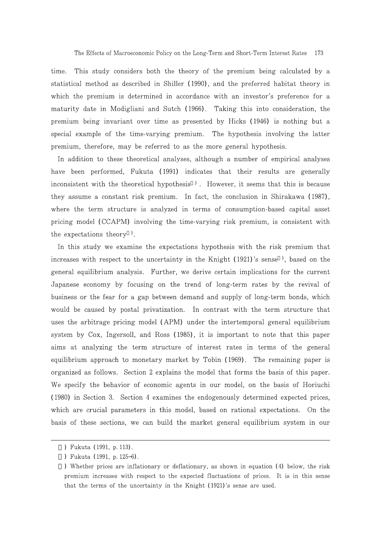time. This study considers both the theory of the premium being calculated by a statistical method as described in Shiller (1990), and the preferred habitat theory in which the premium is determined in accordance with an investor's preference for a maturity date in Modigliani and Sutch (1966). Taking this into consideration, the premium being invariant over time as presented by Hicks (1946) is nothing but a special example of the time-varying premium. The hypothesis involving the latter premium, therefore, may be referred to as the more general hypothesis.

In addition to these theoretical analyses, although a number of empirical analyses have been performed, Fukuta (1991) indicates that their results are generally inconsistent with the theoretical hypothesis  $\lambda$ . However, it seems that this is because they assume a constant risk premium. In fact, the conclusion in Shirakawa (1987), where the term structure is analyzed in terms of consumption-based capital asset pricing model (CCAPM) involving the time-varying risk premium, is consistent with the expectations theory  $\cdot$ .

In this study we examine the expectations hypothesis with the risk premium that increases with respect to the uncertainty in the Knight (1921)'s sense, based on the general equilibrium analysis. Further, we derive certain implications for the current Japanese economy by focusing on the trend of long-term rates by the revival of business or the fear for a gap between demand and supply of long-term bonds, which would be caused by postal privatization. In contrast with the term structure that uses the arbitrage pricing model (APM) under the intertemporal general equilibrium system by Cox, Ingersoll, and Ross (1985), it is important to note that this paper aims at analyzing the term structure of interest rates in terms of the general equilibrium approach to monetary market by Tobin (1969). The remaining paper is organized as follows. Section 2 explains the model that forms the basis of this paper. We specify the behavior of economic agents in our model, on the basis of Horiuchi (1980) in Section 3. Section 4 examines the endogenously determined expected prices, which are crucial parameters in this model, based on rational expectations. On the basis of these sections, we can build the market general equilibrium system in our

<sup>)</sup> Fukuta (1991, p. 113).

<sup>)</sup> Fukuta (1991, p. 125 6).

<sup>)</sup> Whether prices are inflationary or deflationary, as shown in equation (4) below, the risk premium increases with respect to the expected fluctuations of prices. It is in this sense that the terms of the uncertainty in the Knight (1921)'s sense are used.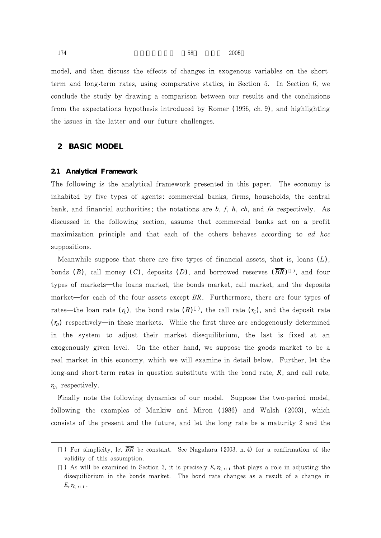$174$  58 2005

model, and then discuss the effects of changes in exogenous variables on the shortterm and long-term rates, using comparative statics, in Section 5. In Section 6, we conclude the study by drawing a comparison between our results and the conclusions from the expectations hypothesis introduced by Romer (1996, ch. 9), and highlighting the issues in the latter and our future challenges.

# **2 BASIC MODEL**

#### **2.1 Analytical Framework**

The following is the analytical framework presented in this paper. The economy is inhabited by five types of agents: commercial banks, firms, households, the central bank, and financial authorities; the notations are  $b, f, h, cb$ , and  $fa$  respectively. As discussed in the following section, assume that commercial banks act on a profit maximization principle and that each of the others behaves according to ad hoc suppositions.

Meanwhile suppose that there are five types of financial assets, that is, loans  $(L)$ , bonds (B), call money (C), deposits (D), and borrowed reserves  $(BR)$ <sup>)</sup>, and four types of markets the loans market, the bonds market, call market, and the deposits market for each of the four assets except  $BR$ . Furthermore, there are four types of rates the loan rate  $(r_L)$ , the bond rate  $(R)$ ), the call rate  $(r_C)$ , and the deposit rate  $(r<sub>p</sub>)$  respectively in these markets. While the first three are endogenously determined in the system to adjust their market disequilibrium, the last is fixed at an exogenously given level. On the other hand, we suppose the goods market to be a real market in this economy, which we will examine in detail below. Further, let the long-and short-term rates in question substitute with the bond rate,  $R$ , and call rate,  $r_c$ , respectively.

Finally note the following dynamics of our model. Suppose the two-period model, following the examples of Mankiw and Miron (1986) and Walsh (2003), which consists of the present and the future, and let the long rate be a maturity 2 and the

<sup>)</sup> For simplicity, let  $\overline{BR}$  be constant. See Nagahara (2003, n.4) for a confirmation of the validity of this assumption.

<sup>)</sup> As will be examined in Section 3, it is precisely  $E_t r_{C_{t+1}}$  that plays a role in adjusting the disequilibrium in the bonds market. The bond rate changes as a result of a change in  $E_t r_{C, t+1}$ .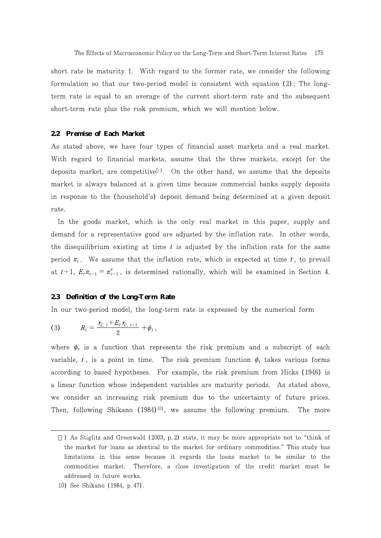short rate be maturity 1. With regard to the former rate, we consider the following formulation so that our two-period model is consistent with equation  $(2)$ : The longterm rate is equal to an average of the current short-term rate and the subsequent short-term rate plus the risk premium, which we will mention below.

#### **2.2 Premise of Each Market**

As stated above, we have four types of financial asset markets and a real market. With regard to financial markets, assume that the three markets, except for the deposits market, are competitive  $\lambda$ . On the other hand, we assume that the deposits market is always balanced at a given time because commercial banks supply deposits in response to the (household's) deposit demand being determined at a given deposit rate.

In the goods market, which is the only real market in this paper, supply and demand for a representative good are adjusted by the inflation rate. In other words, the disequilibrium existing at time  $t$  is adjusted by the inflation rate for the same period  $\pi_t$ . We assume that the inflation rate, which is expected at time t, to prevail at  $t+1$ ,  $E_t \pi_{t+1} = \pi_{t+1}^e$ , is determined rationally, which will be examined in Section 4.

#### **2.3 Definition of the Long-Term Rate**

In our two-period model, the long-term rate is expressed by the numerical form

(3) 
$$
R_t = \frac{r_{C_t t} + E_t r_{C_t t+1}}{2} + \phi_t,
$$

where  $\phi_t$  is a function that represents the risk premium and a subscript of each variable, t, is a point in time. The risk premium function  $\phi_t$  takes various forms according to based hypotheses. For example, the risk premium from Hicks (1946) is a linear function whose independent variables are maturity periods. As stated above, we consider an increasing risk premium due to the uncertainty of future prices. Then, following Shikano  $(1984)^{10}$ , we assume the following premium. The more

<sup>)</sup> As Stiglitz and Greenwald (2003, p. 2) state, it may be more appropriate not to "think of the market for loans as identical to the market for ordinary commodities." This study has limitations in this sense because it regards the loans market to be similar to the commodities market. Therefore, a close investigation of the credit market must be addressed in future works.

<sup>10)</sup> See Shikano (1984, p. 47).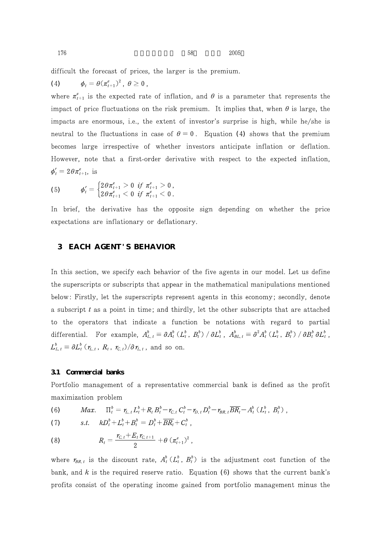$176$  58  $2005$ 

difficult the forecast of prices, the larger is the premium.

(4)  $\phi_t = \theta(\pi^e_{t+1})^2$ ,  $\theta \ge 0$ ,

where  $\pi_{t+1}^e$  is the expected rate of inflation, and  $\theta$  is a parameter that represents the impact of price fluctuations on the risk premium. It implies that, when  $\theta$  is large, the impacts are enormous, i.e., the extent of investor's surprise is high, while he/she is neutral to the fluctuations in case of  $\theta = 0$ . Equation (4) shows that the premium becomes large irrespective of whether investors anticipate inflation or deflation. However, note that a first-order derivative with respect to the expected inflation,  $\phi'_t = 2\theta \pi_{t+1}^e$ , is

(5) 
$$
\phi'_{t} = \begin{cases} 2\theta \pi_{t+1}^{e} > 0 & \text{if } \pi_{t+1}^{e} > 0, \\ 2\theta \pi_{t+1}^{e} < 0 & \text{if } \pi_{t+1}^{e} < 0. \end{cases}
$$

In brief, the derivative has the opposite sign depending on whether the price expectations are inflationary or deflationary.

# **3 EACH AGENT'S BEHAVIOR**

In this section, we specify each behavior of the five agents in our model. Let us define the superscripts or subscripts that appear in the mathematical manipulations mentioned below: Firstly, let the superscripts represent agents in this economy; secondly, denote a subscript  $t$  as a point in time; and thirdly, let the other subscripts that are attached to the operators that indicate a function be notations with regard to partial differential. For example,  $A_{L,t}^{\rho} \equiv \partial A_t^{\rho} (L_t^{\rho}, B_t^{\rho}) / \partial L_t^{\rho}$ ,  $A_{BL,t}^{\rho} \equiv \partial^2 A_t^{\rho} (L_t^{\rho}, B_t^{\rho}) / \partial B_t^{\rho} \partial L_t^{\rho}$ ,  $L_{L,t}^{\circ} \equiv \partial L_t^{\circ} \left( \mathcal{r}_{L,t} , R_t , \mathcal{r}_{C,t} \right) / \partial \mathcal{r}_{L,t}$ , and so on.

#### **3.1 Commercial banks**

Portfolio management of a representative commercial bank is defined as the profit maximization problem

(6) 
$$
Max. \quad \Pi_t^b = r_{L,t} L_t^b + R_t B_t^b - r_{C,t} C_t^b - r_{D,t} D_t^b - r_{BR,t} \overline{BR_t} - A_t^b (L_t^b, B_t^b),
$$

$$
(7) \t\t\t\t\t s.t. \t\t\t kD_t^b + L_t^b + B_t^b = D_t^b + \overline{BR_t} + C_t^b,
$$

(8) 
$$
R_t = \frac{r_{C,t} + E_t r_{C,t+1}}{2} + \theta \left(\pi_{t+1}^e\right)^2,
$$

where  $r_{BR,t}$  is the discount rate,  $A_t^{\rho}(L_t^{\rho}, B_t^{\rho})$  is the adjustment cost function of the bank, and  $k$  is the required reserve ratio. Equation (6) shows that the current bank's profits consist of the operating income gained from portfolio management minus the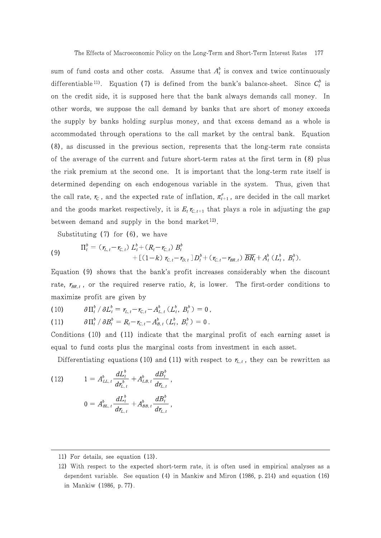sum of fund costs and other costs. Assume that  $A_t^b$  is convex and twice continuously differentiable<sup>11</sup>). Equation (7) is defined from the bank's balance-sheet. Since  $C_t^b$  is on the credit side, it is supposed here that the bank always demands call money. In other words, we suppose the call demand by banks that are short of money exceeds the supply by banks holding surplus money, and that excess demand as a whole is accommodated through operations to the call market by the central bank. Equation (8), as discussed in the previous section, represents that the long-term rate consists of the average of the current and future short-term rates at the first term in (8) plus the risk premium at the second one. It is important that the long-term rate itself is determined depending on each endogenous variable in the system. Thus, given that the call rate,  $r_c$ , and the expected rate of inflation,  $\pi_{t+1}^e$ , are decided in the call market and the goods market respectively, it is  $E_t r_{C,t+1}$  that plays a role in adjusting the gap between demand and supply in the bond market<sup>12)</sup>.

Substituting  $(7)$  for  $(6)$ , we have

(9) 
$$
\Pi_t^b = (\tau_{L,t} - \tau_{C,t}) L_t^b + (R_t - \tau_{C,t}) B_t^b + [(1-k) \tau_{C,t} - \tau_{D,t}] D_t^b + (\tau_{C,t} - \tau_{BR,t}) \overline{BR}_t + A_t^b (L_t^b, B_t^b).
$$

Equation (9) shows that the bank's profit increases considerably when the discount rate,  $r_{BR,t}$ , or the required reserve ratio, k, is lower. The first-order conditions to maximize profit are given by

 $\partial \Pi_t^b / \partial L_t^b = r_{L,t} - r_{C,t} - A_{L,t}^b (L_t^b, B_t^b) = 0$ ,  $(10)$ 

 $\partial \Pi_t^b / \partial B_t^b = R_t - r_{C,t} - A_{B,t}^b (L_t^b, B_t^b) = 0$ .  $(11)$ 

Conditions (10) and (11) indicate that the marginal profit of each earning asset is equal to fund costs plus the marginal costs from investment in each asset.

Differentiating equations (10) and (11) with respect to  $r_{L,t}$ , they can be rewritten as

(12) 
$$
1 = A_{LL,t}^{b} \frac{dL_{t}^{b}}{dr_{L,t}^{b}} + A_{LB,t}^{b} \frac{dB}{dr_{L}}
$$

$$
0 = A_{BL,t}^{b} \frac{dL_{t}^{b}}{dr_{L,t}} + A_{BB,t}^{b} \frac{dB}{dr_{L}}
$$

<sup>11)</sup> For details, see equation (13).

<sup>12)</sup> With respect to the expected short-term rate, it is often used in empirical analyses as a dependent variable. See equation  $(4)$  in Mankiw and Miron  $(1986, p. 214)$  and equation  $(16)$ in Mankiw (1986, p. 77).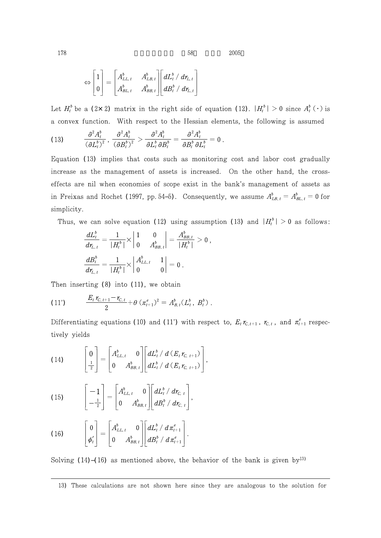$\,2005\,$ 

$$
\Leftrightarrow \begin{bmatrix} 1 \\ 0 \end{bmatrix} = \begin{bmatrix} A_{LL,t}^b & A_{LB,t}^b \\ A_{BL,t}^b & A_{BB,t}^b \end{bmatrix} \begin{bmatrix} dL_t^b / dr_{LL} \\ dB_t^b / dr_{LL,t} \end{bmatrix}
$$

Let  $H_t^b$  be a (2×2) matrix in the right side of equation (12).  $|H_t^b| > 0$  since  $A_t^b(\cdot)$  is a convex function. With respect to the Hessian elements, the following is assumed

58

$$
(13) \qquad \frac{\partial^2 A^b_t}{(\partial L^b_t)^2}, \frac{\partial^2 A^b_t}{(\partial B^b_t)^2} > \frac{\partial^2 A^b_t}{\partial L^b_t \partial B^b_t} = \frac{\partial^2 A^b_t}{\partial B^b_t \partial L^b_t} = 0.
$$

Equation (13) implies that costs such as monitoring cost and labor cost gradually increase as the management of assets is increased. On the other hand, the crosseffects are nil when economies of scope exist in the bank's management of assets as in Freixas and Rochet (1997, pp. 54 5). Consequently, we assume  $A_{LB,t}^b = A_{BL,t}^b = 0$  for simplicity.

Thus, we can solve equation (12) using assumption (13) and  $|H_t^b| > 0$  as follows:

 $\bar{ }$ 

$$
\begin{aligned}\n\frac{dL_t^b}{dt_{L,t}} &= \frac{1}{|H_t^b|} \times \begin{vmatrix} 1 & 0 \\ 0 & A_{BB,t}^b \end{vmatrix} = \frac{A_{BB,t}^b}{|H_t^b|} > 0 \\
\frac{dB_t^b}{dt_{L,t}} &= \frac{1}{|H_t^b|} \times \begin{vmatrix} A_{LL,t}^b & 1 \\ 0 & 0 \end{vmatrix} = 0 \,.\n\end{aligned}
$$

Then inserting  $(8)$  into  $(11)$ , we obtain

(11') 
$$
\frac{E_t r_{C,t+1} - r_{C,t}}{2} + \theta \left( \pi_{t+1}^e \right)^2 = A_{B,t}^b (L_t^b, B_t^b).
$$

Differentiating equations (10) and (11') with respect to,  $E_t r_{C, t+1}$ ,  $r_{C, t}$ , and  $\pi_{t+1}^e$  respectively yields

(14) 
$$
\begin{bmatrix} 0 \\ \frac{1}{2} \end{bmatrix} = \begin{bmatrix} A_{LL,t}^b & 0 \\ 0 & A_{BB,t}^b \end{bmatrix} \begin{bmatrix} dL_t^b / d(E_t r_{C, t+1}) \\ dL_t^b / d(E_t r_{C, t+1}) \end{bmatrix},
$$

(15) 
$$
\begin{bmatrix} -1 \\ -\frac{1}{2} \end{bmatrix} = \begin{bmatrix} A_{LL,t}^b & 0 \\ 0 & A_{BB,t}^b \end{bmatrix} \begin{bmatrix} dL_t^b / dr_{C,t} \\ dB_t^b / dr_{C,t} \end{bmatrix},
$$

(16) 
$$
\begin{bmatrix} 0 \\ \phi'_t \end{bmatrix} = \begin{bmatrix} A_{LL,t}^b & 0 \\ 0 & A_{BB,t}^b \end{bmatrix} \begin{bmatrix} dL_t^b / d\pi_{t+1}^e \\ dB_t^b / d\pi_{t+1}^e \end{bmatrix}.
$$

Solving  $(14)$   $(16)$  as mentioned above, the behavior of the bank is given by<sup>13)</sup>

178

<sup>13)</sup> These calculations are not shown here since they are analogous to the solution for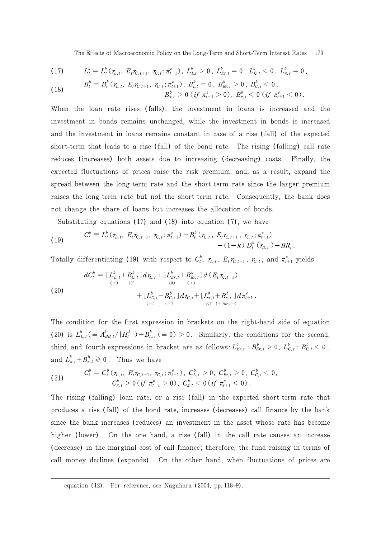The Effects of Macroeconomic Policy on the Long-Term and Short-Term Interest Rates 179

$$
(17) \qquad L_t^b = L_t^b(\tau_{L,t}, E_t \tau_{C,t+1}, \tau_{C,t}; \pi_{t+1}^e), L_{L,t}^b > 0, L_{Er,t}^b = 0, L_{C,t}^b < 0, L_{\pi,t}^b = 0
$$

(18) 
$$
B_t^b = B_t^b(\mathbf{r}_{L,t}, E_t \mathbf{r}_{C,t+1}, \mathbf{r}_{C,t}; \pi_{t+1}^e), B_{L,t}^b = 0, B_{E\mathbf{r},t}^b > 0, B_{C,t}^b < 0,
$$

$$
B_{\pi,t}^b > 0 \text{ (if } \pi_{t+1}^e > 0), B_{\pi,t}^b < 0 \text{ (if } \pi_{t+1}^e < 0)
$$

When the loan rate rises (falls), the investment in loans is increased and the investment in bonds remains unchanged, while the investment in bonds is increased and the investment in loans remains constant in case of a rise (fall) of the expected short-term that leads to a rise (fall) of the bond rate. The rising (falling) call rate reduces (increases) both assets due to increasing (decreasing) costs. Finally, the expected fluctuations of prices raise the risk premium, and, as a result, expand the spread between the long-term rate and the short-term rate since the larger premium raises the long-term rate but not the short-term rate. Consequently, the bank does not change the share of loans but increases the allocation of bonds.

Substituting equations  $(17)$  and  $(18)$  into equation  $(7)$ , we have

(19) 
$$
C_t^b \equiv L_t^b(\tau_{L,t}, E_t \tau_{C,t+1}, \tau_{C,t}; \pi_{t+1}^e) + B_t^b(\tau_{L,t}, E_t \tau_{C,t+1}, \tau_{C,t}; \pi_{t+1}^e) - (1-k) D_t^b(\tau_{D,t}) - \overline{BR}_t.
$$

Totally differentiating (19) with respect to  $C_t^b$ ,  $\tau_{L,t}$ ,  $E_t \tau_{C,t+1}$ ,  $\tau_{C,t}$ , and  $\pi_{t+1}^e$  yields

(20)  
\n
$$
dC_t^b = \left[ L_{L,t}^b + B_{L,t}^b \right] d\tau_{L,t} + \left[ L_{Er,t}^b + B_{Er,t}^b \right] d\left( E_t \tau_{C,t+1} \right)
$$
\n
$$
+ \left[ L_{C,t}^b + B_{C,t}^b \right] d\tau_{C,t} + \left[ L_{\pi,t}^b + B_{\pi,t}^b \right] d\pi_{t+1}^e
$$
\n
$$
- \left( \begin{array}{cc} - & \left( - \right) & \left( 0 \right) & \left( + \right) \sigma \left( - \right) \\ \left( 0 & \left( + \right) \sigma \left( - \right) \end{array} \right)
$$

The condition for the first expression in brackets on the right-hand side of equation (20) is  $L_{L,t}^b \left( \equiv A_{BB,t}^b / |H_t^b| \right) + B_{L,t}^b \left( \equiv 0 \right) > 0$ . Similarly, the conditions for the second, third, and fourth expressions in bracket are as follows:  $L_{Er,t}^b + B_{Er,t}^b > 0$ ,  $L_{C,t}^b + B_{C,t}^b < 0$ , and  $L_{\pi,t}^b+B_{\pi,t}^b\gtrless 0$ . Thus we have

(21) 
$$
C_t^b = C_t^b(\mathbf{r}_{L,t}, E_t \mathbf{r}_{C,t+1}, \mathbf{r}_{C,t}; \pi_{t+1}^e), C_{L,t}^b > 0, C_{Er,t}^b > 0, C_{C,t}^b < 0, C_{R,t}^b > 0 \text{ (if } \pi_{t+1}^e > 0), C_{\pi,t}^b < 0 \text{ (if } \pi_{t+1}^e < 0).
$$

The rising (falling) loan rate, or a rise (fall) in the expected short-term rate that produces a rise (fall) of the bond rate, increases (decreases) call finance by the bank since the bank increases (reduces) an investment in the asset whose rate has become higher (lower). On the one hand, a rise (fall) in the call rate causes an increase (decrease) in the marginal cost of call finance; therefore, the fund raising in terms of call money declines (expands). On the other hand, when fluctuations of prices are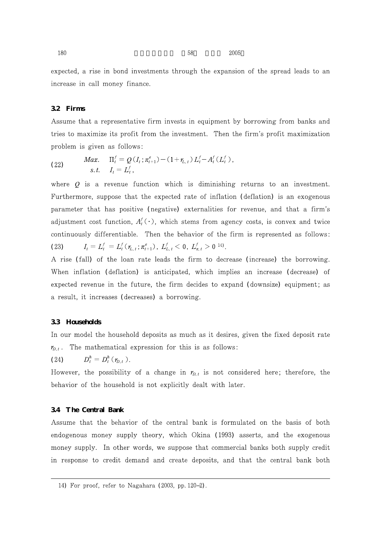$180 \hspace{3.5cm} 58 \hspace{1.5cm} 2005$ 

expected, a rise in bond investments through the expansion of the spread leads to an increase in call money finance.

## **3.2 Firms**

Assume that a representative firm invests in equipment by borrowing from banks and tries to maximize its profit from the investment. Then the firm's profit maximization problem is given as follows:

(22) 
$$
\text{Max.} \quad \Pi_t^f = Q(I_t; \pi_{t+1}^e) - (1 + r_{L,t}) L_t^f - A_t^f(L_t^f),
$$
\n
$$
\text{s.t.} \quad I_t = L_t^f,
$$

where  $Q$  is a revenue function which is diminishing returns to an investment. Furthermore, suppose that the expected rate of inflation (deflation) is an exogenous parameter that has positive (negative) externalities for revenue, and that a firm's adjustment cost function,  $A'_i(\cdot)$ , which stems from agency costs, is convex and twice continuously differentiable. Then the behavior of the firm is represented as follows: (23)  $I_t = L_t^J = L_t^J(\tau_{L,t}; \pi_{t+1}^e), L_{L,t}^J < 0, L_{\pi,t}^J > 0$  14).

A rise (fall) of the loan rate leads the firm to decrease (increase) the borrowing. When inflation (deflation) is anticipated, which implies an increase (decrease) of expected revenue in the future, the firm decides to expand (downsize) equipment; as a result, it increases (decreases) a borrowing.

#### **3.3 Households**

In our model the household deposits as much as it desires, given the fixed deposit rate  $r_{D,t}$ . The mathematical expression for this is as follows:

(24)  $D_t^n = D_t^n(r_{D,t}).$ 

However, the possibility of a change in  $r_{D,t}$  is not considered here; therefore, the behavior of the household is not explicitly dealt with later.

#### **3.4 The Central Bank**

Assume that the behavior of the central bank is formulated on the basis of both endogenous money supply theory, which Okina (1993) asserts, and the exogenous money supply. In other words, we suppose that commercial banks both supply credit in response to credit demand and create deposits, and that the central bank both

<sup>14)</sup> For proof, refer to Nagahara (2003, pp. 120 2).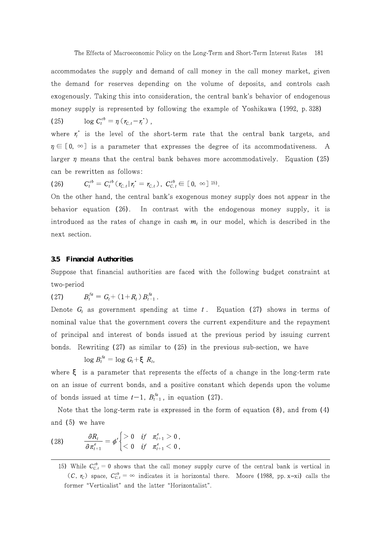accommodates the supply and demand of call money in the call money market, given the demand for reserves depending on the volume of deposits, and controls cash exogenously. Taking this into consideration, the central bank's behavior of endogenous money supply is represented by following the example of Yoshikawa (1992, p. 328)

(25)  $\log C_t^{co} = \eta (r_{C,t} - r_t^*)$ , where  $r_t^*$  is the level of the short-term rate that the central bank targets, and  $\eta \in [0, \infty]$  is a parameter that expresses the degree of its accommodativeness. A larger  $\eta$  means that the central bank behaves more accommodatively. Equation (25) can be rewritten as follows:

(26) 
$$
C_t^{cb} = C_t^{cb} (\tau_{C,t} | \tau_t^* = \tau_{C,t}), \ C_{C,t}^{cb} \in [0, \infty]^{15}.
$$

On the other hand, the central bank's exogenous money supply does not appear in the behavior equation  $(26)$ . In contrast with the endogenous money supply, it is introduced as the rates of change in cash  $m_l$  in our model, which is described in the next section.

#### **3.5 Financial Authorities**

Suppose that financial authorities are faced with the following budget constraint at two-period

(27)  $B_t^{ja} = G_t + (1+R_t) B_{t-1}^{ja}$ .

Denote  $G_t$  as government spending at time t. Equation (27) shows in terms of nominal value that the government covers the current expenditure and the repayment of principal and interest of bonds issued at the previous period by issuing current bonds. Rewriting  $(27)$  as similar to  $(25)$  in the previous sub-section, we have

 $\log B_t^{ja} = \log G_t + R_t$ 

where is a parameter that represents the effects of a change in the long-term rate on an issue of current bonds, and a positive constant which depends upon the volume of bonds issued at time  $t-1$ ,  $B_{t-1}^{t}$ , in equation (27).

Note that the long-term rate is expressed in the form of equation  $(8)$ , and from  $(4)$ and  $(5)$  we have

(28) 
$$
\frac{\partial R_t}{\partial \pi_{t+1}^e} = \phi' \begin{cases} > 0 & \text{if } \pi_{t+1}^e > 0, \\ < 0 & \text{if } \pi_{t+1}^e < 0, \end{cases}
$$

<sup>15)</sup> While  $C_{c,t}^{\omega} = 0$  shows that the call money supply curve of the central bank is vertical in  $(C, r_c)$  space,  $C_{c,t}^{co} = \infty$  indicates it is horizontal there. Moore (1988, pp. x xi) calls the former "Verticalist" and the latter "Horizontalist".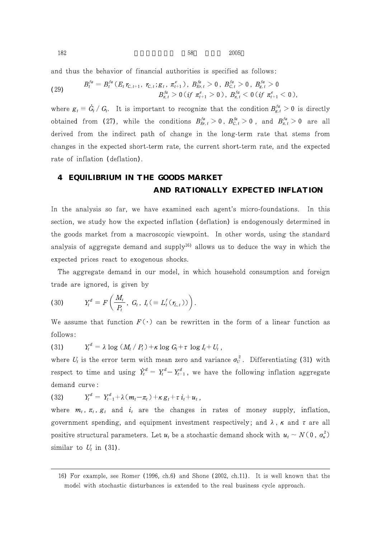and thus the behavior of financial authorities is specified as follows:

(29) 
$$
B_t^{fa} = B_t^{fa} (E_t r_{C,t+1}, r_{C,t}; g_t, \pi_{t+1}^e), B_{Er,t}^{fa} > 0, B_{C,t}^{fa} > 0, B_{g,t}^{fa} > 0
$$

$$
B_{\pi,t}^{fa} > 0 (if \pi_{t+1}^{fa} > 0), B_{\pi,t}^{fa} < 0 (if \pi_{t+1}^e < 0),
$$

where  $g_t \equiv G_t/G_t$ . It is important to recognize that the condition  $B_{g,t}^{Ja} > 0$  is directly obtained from (27), while the conditions  $B_{Er,t}^{Ja} > 0$ ,  $B_{C,t}^{Ja} > 0$ , and  $B_{\pi,t}^{Ja} > 0$  are all derived from the indirect path of change in the long-term rate that stems from changes in the expected short-term rate, the current short-term rate, and the expected rate of inflation (deflation).

# **4 EQUILIBRIUM IN THE GOODS MARKET AND RATIONALLY EXPECTED INFLATION**

In the analysis so far, we have examined each agent's micro-foundations. In this section, we study how the expected inflation (deflation) is endogenously determined in the goods market from a macroscopic viewpoint. In other words, using the standard analysis of aggregate demand and supply<sup>16</sup> allows us to deduce the way in which the expected prices react to exogenous shocks.

The aggregate demand in our model, in which household consumption and foreign trade are ignored, is given by

(30) 
$$
Y_t^d = F\left(\frac{M_t}{P_t}, G_t, I_t \in L_t^f(\tau_{L,t}))\right).
$$

We assume that function  $F(\cdot)$  can be rewritten in the form of a linear function as follows:

 $(31)$  $Y_t^d = \lambda \log \left( M_t / P_t \right) + \kappa \log G_t + \tau \log I_t + U_t$ 

where  $U_t$  is the error term with mean zero and variance  $\sigma_U^2$ . Differentiating (31) with respect to time and using  $Y_t^a = Y_t^a - Y_{t-1}^a$ , we have the following inflation aggregate demand curve:

(32)  $Y_t^a = Y_{t-1}^a + \lambda (m_t - \pi_t) + \kappa g_t + \tau i_t + u_t,$ 

where  $m_t$ ,  $\pi_t$ ,  $g_t$  and  $i_t$  are the changes in rates of money supply, inflation, government spending, and equipment investment respectively; and  $\lambda$ ,  $\kappa$  and  $\tau$  are all positive structural parameters. Let  $u_t$  be a stochastic demand shock with  $u_t \sim N(0, \sigma_u^2)$ similar to  $U_t$  in (31).

<sup>16)</sup> For example, see Romer (1996, ch.6) and Shone (2002, ch.11). It is well known that the model with stochastic disturbances is extended to the real business cycle approach.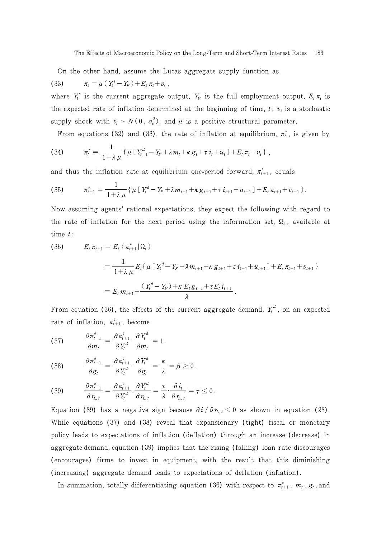On the other hand, assume the Lucas aggregate supply function as  $\pi_t = \mu \left(\, Y_t^s\! - Y_F \,\right) + E_t \, \pi_t + v_t \, ,$  $(33)$ 

where  $Y_t^s$  is the current aggregate output,  $Y_F$  is the full employment output,  $E_t \pi_t$  is the expected rate of inflation determined at the beginning of time, t,  $v_t$  is a stochastic supply shock with  $v_t \sim N(0, \sigma_v^2)$ , and  $\mu$  is a positive structural parameter.

From equations (32) and (33), the rate of inflation at equilibrium,  $\pi_t^*$ , is given by

(34) 
$$
\pi_t^* = \frac{1}{1 + \lambda \mu} \{ \mu \left[ Y_{t-1}^d - Y_F + \lambda m_t + \kappa g_t + \tau i_t + u_t \right] + E_t \pi_t + v_t \},
$$

and thus the inflation rate at equilibrium one-period forward,  $\pi_{t+1}^*$ , equals

$$
(35) \t\t \pi_{t+1}^* = \frac{1}{1+\lambda \mu} \{ \mu \left[ Y_t^d - Y_F + \lambda m_{t+1} + \kappa g_{t+1} + \tau i_{t+1} + u_{t+1} \right] + E_t \pi_{t+1} + v_{t+1} \}.
$$

Now assuming agents' rational expectations, they expect the following with regard to the rate of inflation for the next period using the information set,  $\Omega_t$ , available at time  $t$ :

(36) 
$$
E_{t} \pi_{t+1} = E_{t} (\pi_{t+1}^{*} | \Omega_{t})
$$

$$
= \frac{1}{1+\lambda \mu} E_{t} \{ \mu \left[ Y_{t}^{d} - Y_{F} + \lambda m_{t+1} + \kappa g_{t+1} + \tau i_{t+1} + u_{t+1} \right] + E_{t} \pi_{t+1} + v_{t+1} \}
$$

$$
= E_{t} m_{t+1} + \frac{(Y_{t}^{d} - Y_{F}) + \kappa E_{t} g_{t+1} + \tau E_{t} i_{t+1}}{\lambda}.
$$

From equation (36), the effects of the current aggregate demand,  $Y_t^d$ , on an expected rate of inflation,  $\pi_{t+1}^e$ , become

$$
(37) \qquad \frac{\partial \pi_{t+1}^e}{\partial m_t} = \frac{\partial \pi_{t+1}^e}{\partial Y_t^d} \frac{\partial Y_t^d}{\partial m_t} = 1 \,,
$$

(38) 
$$
\frac{\partial \pi_{t+1}^e}{\partial g_t} = \frac{\partial \pi_{t+1}^e}{\partial Y_t^d} \frac{\partial Y_t^d}{\partial g_t} = \frac{\kappa}{\lambda} = \beta \ge 0,
$$

$$
(39) \qquad \frac{\partial \pi_{t+1}^e}{\partial \gamma_{L,t}} = \frac{\partial \pi_{t+1}^e}{\partial Y_t^d} \frac{\partial Y_t^d}{\partial \gamma_{L,t}} = \frac{\tau}{\lambda} \cdot \frac{\partial i_t}{\partial \gamma_{L,t}} = \gamma \leq 0
$$

Equation (39) has a negative sign because  $\partial i/\partial r_{L,t} < 0$  as shown in equation (23). While equations (37) and (38) reveal that expansionary (tight) fiscal or monetary policy leads to expectations of inflation (deflation) through an increase (decrease) in aggregate demand, equation (39) implies that the rising (falling) loan rate discourages (encourages) firms to invest in equipment, with the result that this diminishing (increasing) aggregate demand leads to expectations of deflation (inflation).

In summation, totally differentiating equation (36) with respect to  $\pi_{t+1}^e$ ,  $m_t$ ,  $g_t$ , and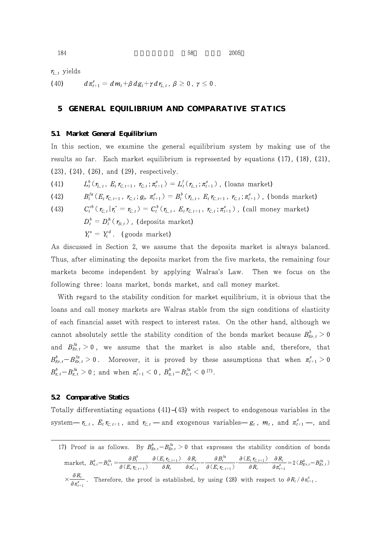$r_{L,t}$  yields

(40) 
$$
d\pi_{t+1}^e = dm_t + \beta dg_t + \gamma d\eta_{L,t}, \ \beta \ge 0, \ \gamma \le 0.
$$

# **5 GENERAL EQUILIBRIUM AND COMPARATIVE STATICS**

#### **5.1 Market General Equilibrium**

In this section, we examine the general equilibrium system by making use of the results so far. Each market equilibrium is represented by equations  $(17)$ ,  $(18)$ ,  $(21)$ ,  $(23)$ ,  $(24)$ ,  $(26)$ , and  $(29)$ , respectively.

(41) 
$$
L_t^b(\tau_{L,t}, E_t \tau_{C,t+1}, \tau_{C,t}; \pi_{t+1}^e) = L_t^f(\tau_{L,t}; \pi_{t+1}^e) \text{ (loans market)}
$$

(42) 
$$
B_t^{fa}(E_t r_{C,t+1}, r_{C,t}; g_t, \pi_{t+1}^e) = B_t^b(r_{L,t}, E_t r_{C,t+1}, r_{C,t}; \pi_{t+1}^e)
$$
 (bonds market)

(43) 
$$
C_t^{cb}(\mathbf{r}_{C,t}|\mathbf{r}_i^* = \mathbf{r}_{C,t}) = C_t^b(\mathbf{r}_{L,t}, E_t \mathbf{r}_{C,t+1}, \mathbf{r}_{C,t}; \pi_{t+1}^e), \text{ (call money market)}
$$

$$
D_t^b = D_t^h(\mathbf{r}_{D,t}), \text{ (deposits market)}
$$

$$
Y_t^s = Y_t^d. \text{ (goods market)}
$$

As discussed in Section 2, we assume that the deposits market is always balanced. Thus, after eliminating the deposits market from the five markets, the remaining four markets become independent by applying Walras's Law. Then we focus on the following three: loans market, bonds market, and call money market.

With regard to the stability condition for market equilibrium, it is obvious that the loans and call money markets are Walras stable from the sign conditions of elasticity of each financial asset with respect to interest rates. On the other hand, although we cannot absolutely settle the stability condition of the bonds market because  $B_{E,r,t}^{\circ} > 0$ and  $B_{Er,t}^{\mu} > 0$ , we assume that the market is also stable and, therefore, that  $B_{Er,t}^{\circ}-B_{Er,t}^{\circ}\geq 0$ . Moreover, it is proved by these assumptions that when  $\pi_{t+1}^{\circ}\geq 0$  $B^{b}_{\pi,\,t}-B^{Ja}_{\pi,\,t}>0$  ; and when  $\pi^e_{t+1}< 0$  ,  $B^{b}_{\pi,\,t}-B^{Ja}_{\pi,\,t}< 0$  17).

#### **5.2 Comparative Statics**

Totally differentiating equations (41) (43) with respect to endogenous variables in the system  $r_{L,t}$ ,  $E_t r_{C,t+1}$ , and  $r_{C,t}$  and exogenous variables  $g_t$ ,  $m_t$ , and  $\pi_{t+1}^e$  , and

<sup>17)</sup> Proof is as follows. By  $B_{Er,t}^o - B_{Er,t}^{Ia} > 0$  that expresses the stability condition of bonds market,  $B_{\pi,t}^b - B_{\pi,t}^{fa} = \frac{\partial B_t^o}{\partial (E_t r_{C,t+1})} \cdot \frac{\partial (E_t r_{C,t+1})}{\partial R_t}$ .  $\frac{\partial_{t}\mathcal{F}_{\mathcal{C},t+1}}{\partial R_{t}}\!\cdot\!\frac{\partial R_{t}}{\partial \pi_{t+1}^{e}}\!\!-\!\!\frac{\partial B_{t}^{ja}}{\partial\left(E_{t}\mathcal{F}_{\mathcal{C},t}\right)}$  $\frac{\partial B_t}{\partial (E_t r_{C,t+1})} \cdot \frac{\partial (E_t r_{C,t+1})}{\partial R_t}$  $\frac{\partial H_{t} r_{C,t+1}}{\partial R_{t}} \cdot \frac{\partial R_{t}}{\partial \pi_{t+1}^{e}} = 2 \left( B_{Er,t}^{b} - B_{Er,t}^{fa} \right)$ 

 $\times \frac{\partial R_t}{\partial \pi_{t+1}^e}$ . Therefore, the proof is established, by using (28) with respect to  $\partial R_t / \partial \pi_{t+1}^e$ .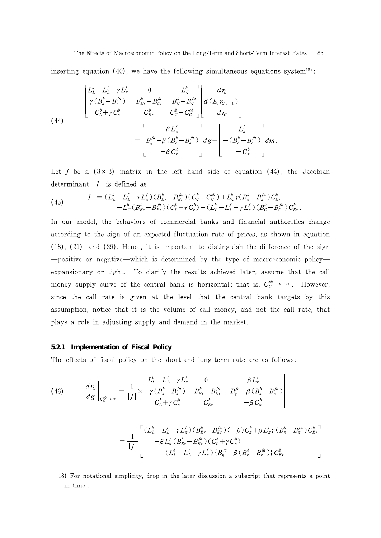inserting equation (40), we have the following simultaneous equations system<sup>18)</sup>:

(44)  

$$
\begin{bmatrix} L_L^b - L_L^f - \gamma L_{\pi}^f & 0 & L_C^b \\ \gamma (B_{\pi}^b - B_{\pi}^{fa}) & B_{Er}^b - B_{Er}^{fa} & B_C^b - B_C^{fa} \\ C_L^b + \gamma C_{\pi}^b & C_{Er}^b & C_C^b - C_C^{cb} \end{bmatrix} \begin{bmatrix} d\tau_L \\ d(E_t \tau_{C,t+1}) \\ d\tau_C \end{bmatrix}
$$

$$
= \begin{bmatrix} \beta L_{\pi}^f \\ B_{g}^{fa} - \beta (B_{\pi}^b - B_{\pi}^{fa}) \\ -\beta C_{\pi}^b \end{bmatrix} d\mathbf{g} + \begin{bmatrix} L_{\pi}^f \\ -(B_{\pi}^b - B_{\pi}^{fa}) \\ -C_{\pi}^b \end{bmatrix} d\mathbf{m}.
$$

Let  $J$  be a  $(3 \times 3)$  matrix in the left hand side of equation  $(44)$ ; the Jacobian determinant  $|J|$  is defined as

(45) 
$$
|J| = (L_{L}^{b} - L_{L}^{f} - \gamma L_{\pi}^{f})(B_{Er}^{b} - B_{Er}^{fa})(C_{C}^{b} - C_{C}^{cb}) + L_{C}^{b} \gamma (B_{\pi}^{b} - B_{\pi}^{fa}) C_{Er}^{b} - L_{C}^{b} (B_{Er}^{b} - B_{Er}^{fa})(C_{L}^{b} + \gamma C_{\pi}^{b}) - (L_{L}^{b} - L_{L}^{f} - \gamma L_{\pi}^{f})(B_{C}^{b} - B_{C}^{fa}) C_{Er}^{b}.
$$

In our model, the behaviors of commercial banks and financial authorities change according to the sign of an expected fluctuation rate of prices, as shown in equation  $(18)$ ,  $(21)$ , and  $(29)$ . Hence, it is important to distinguish the difference of the sign

positive or negative which is determined by the type of macroeconomic policy expansionary or tight. To clarify the results achieved later, assume that the call money supply curve of the central bank is horizontal; that is,  $C_c^{cb} \rightarrow \infty$ . However, since the call rate is given at the level that the central bank targets by this assumption, notice that it is the volume of call money, and not the call rate, that plays a role in adjusting supply and demand in the market.

#### **5.2.1 Implementation of Fiscal Policy**

The effects of fiscal policy on the short-and long-term rate are as follows:

(46) 
$$
\frac{d\,r_{\mathcal{C}}}{d\,g}\Big|_{C_{\mathcal{C}}^{\psi}\to\infty} = \frac{1}{|J|} \times \begin{vmatrix} L_{L}^{b} - L_{L}^{f} - \gamma L_{\pi}^{f} & 0 & \beta L_{\pi}^{f} \\ \gamma \left( B_{\pi}^{b} - B_{\pi}^{fa} \right) & B_{Er}^{b} - B_{Er}^{fa} & B_{g}^{fa} - \beta \left( B_{\pi}^{b} - B_{\pi}^{fa} \right) \\ C_{L}^{b} + \gamma C_{\pi}^{b} & C_{Er}^{b} & -\beta C_{\pi}^{b} \end{vmatrix}
$$

$$
= \frac{1}{|J|} \begin{bmatrix} (L_L^b - L_L^f - \gamma L_{\pi}^f) (B_{Er}^b - B_{Er}^{fa}) (-\beta) C_{\pi}^b + \beta L_{\pi}^f \gamma (B_{\pi}^b - B_{\pi}^{fa}) C_{Er}^b \\ -\beta L_{\pi}^f (B_{Er}^b - B_{Er}^{fa}) (C_L^b + \gamma C_{\pi}^b) \\ - (L_L^b - L_L^f - \gamma L_{\pi}^f) \{B_{g}^{fa} - \beta (B_{\pi}^b - B_{\pi}^{fa}) \} C_{Er}^b \end{bmatrix}
$$

<sup>18)</sup> For notational simplicity, drop in the later discussion a subscript that represents a point in time.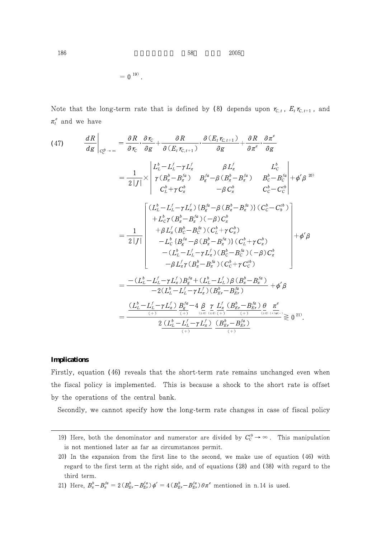$186$  58  $2005$ 

 $= 0^{19}$ .

Note that the long-term rate that is defined by (8) depends upon  $r_{C,t}$ ,  $E_t r_{C,t+1}$ , and  $\pi_t^e$  and we have

$$
(47) \frac{dR}{dg}\Big|_{C_{c}^{\beta}\to\infty} = \frac{\partial R}{\partial r_{C}}\cdot\frac{\partial r_{C}}{\partial g} + \frac{\partial R}{\partial (E_{t} r_{C,t+1})}\cdot\frac{\partial (E_{t} r_{C,t+1})}{\partial g} + \frac{\partial R}{\partial \pi^{e}}\cdot\frac{\partial \pi^{e}}{\partial g}
$$

$$
= \frac{1}{2|J|} \times \begin{vmatrix} L_{L}^{b} - L_{L}^{f} - \gamma L_{\pi}^{f} & \beta L_{\pi}^{f} & L_{C}^{b} \\ \gamma (B_{\pi}^{b} - B_{\pi}^{fa}) & B_{\pi}^{fa} - \beta (B_{\pi}^{b} - B_{\pi}^{fa}) & B_{C}^{b} - B_{C}^{b} \\ C_{L}^{b} + \gamma C_{\pi}^{b} & -\beta C_{\pi}^{b} & C_{C}^{b} - C_{C}^{b} \end{vmatrix}
$$

$$
= \frac{1}{2|J|} \begin{bmatrix} (L_{L}^{b} - L_{L}^{f} - \gamma L_{\pi}^{f}) \{B_{\pi}^{fa} - \beta (B_{\pi}^{b} - B_{\pi}^{fa})\} (C_{C}^{b} - C_{C}^{b}) \\ + L_{C}^{b} \gamma (B_{\pi}^{b} - B_{\pi}^{fa}) (-\beta) C_{\pi}^{b} \\ + \beta L_{\pi}^{f} (B_{C}^{b} - B_{C}^{fa}) (C_{L}^{b} + \gamma C_{\pi}^{b}) \\ - L_{C}^{b} \{B_{\pi}^{fa} - \beta (B_{\pi}^{b} - B_{\pi}^{fa})\} (C_{L}^{b} + \gamma C_{\pi}^{b}) \\ - (L_{L}^{b} - L_{L}^{f} - \gamma L_{\pi}^{f}) (B_{C}^{b} - B_{C}^{fa}) (-\beta) C_{\pi}^{b} \\ - \beta L_{\pi}^{f} \gamma (B_{\pi}^{b} - B_{\pi}^{fa}) (C_{C}^{b} + \gamma C_{C}^{b}) \end{bmatrix} + \phi' \beta
$$

$$
= \frac{-(L_{L}^{b} - L_{L}^{f} - \gamma L_{\pi}^{f}) B_{\pi}^{fa} + (L_{L}^{b} - L_{L}^{f}) \beta (B_{\pi}
$$

# **Implications**

Firstly, equation (46) reveals that the short-term rate remains unchanged even when the fiscal policy is implemented. This is because a shock to the short rate is offset by the operations of the central bank.

Secondly, we cannot specify how the long-term rate changes in case of fiscal policy

<sup>19)</sup> Here, both the denominator and numerator are divided by  $C_c^{\phi} \rightarrow \infty$ . This manipulation is not mentioned later as far as circumstances permit.

<sup>20)</sup> In the expansion from the first line to the second, we make use of equation  $(46)$  with regard to the first term at the right side, and of equations (28) and (38) with regard to the third term.

<sup>21)</sup> Here,  $B_{\pi}^{\rho} - B_{\pi}^{\gamma a} = 2(B_{Er}^{\rho} - B_{Er}^{\gamma a}) \phi' = 4(B_{Er}^{\rho} - B_{Er}^{\gamma a}) \theta \pi^{e}$  mentioned in n.14 is used.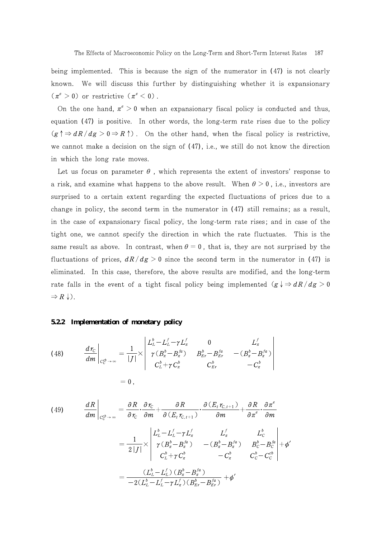being implemented. This is because the sign of the numerator in  $(47)$  is not clearly known. We will discuss this further by distinguishing whether it is expansionary  $(\pi^e > 0)$  or restrictive  $(\pi^e < 0)$ .

On the one hand,  $\pi^e > 0$  when an expansionary fiscal policy is conducted and thus, equation (47) is positive. In other words, the long-term rate rises due to the policy  $(g \nvert \Rightarrow dR/dg > 0 \Rightarrow R \uparrow)$ . On the other hand, when the fiscal policy is restrictive, we cannot make a decision on the sign of  $(47)$ , i.e., we still do not know the direction in which the long rate moves.

Let us focus on parameter  $\theta$ , which represents the extent of investors' response to a risk, and examine what happens to the above result. When  $\theta > 0$ , i.e., investors are surprised to a certain extent regarding the expected fluctuations of prices due to a change in policy, the second term in the numerator in  $(47)$  still remains; as a result, in the case of expansionary fiscal policy, the long-term rate rises; and in case of the tight one, we cannot specify the direction in which the rate fluctuates. This is the same result as above. In contrast, when  $\theta = 0$ , that is, they are not surprised by the fluctuations of prices,  $dR/dg > 0$  since the second term in the numerator in (47) is eliminated. In this case, therefore, the above results are modified, and the long-term rate falls in the event of a tight fiscal policy being implemented  $(g \nmid \Rightarrow dR/dg > 0$  $\Rightarrow R \downarrow$ .

#### **5.2.2 Implementation of monetary policy**

(48) 
$$
\frac{d r_c}{dm} \Big|_{C_c^{cb} \to \infty} = \frac{1}{|J|} \times \begin{vmatrix} L_L^b - L_L^f - \gamma L_\pi^f & 0 & L_\pi^f \\ \gamma (B_\pi^b - B_\pi^{fa}) & B_{Er}^b - B_{Er}^{fa} & -(B_\pi^b - B_\pi^{fa}) \\ C_L^b + \gamma C_\pi^b & C_{Er}^b & -C_\pi^b \end{vmatrix}
$$

$$
= 0,
$$

(49) 
$$
\frac{dR}{dm}\Big|_{C_C^{cb}\to\infty} = \frac{\partial R}{\partial r_C} \cdot \frac{\partial r_C}{\partial m} + \frac{\partial R}{\partial (E_t r_{C,t+1})} \cdot \frac{\partial (E_t r_{C,t+1})}{\partial m} + \frac{\partial R}{\partial \pi^e} \cdot \frac{\partial \pi^e}{\partial m}
$$

$$
= \frac{1}{2|J|} \times \begin{vmatrix} L_L^b - L_L^f - \gamma L_\pi^f & L_\pi^f & L_C^b \\ \gamma (B_\pi^b - B_\pi^{fa}) & -(B_\pi^b - B_\pi^{fa}) & B_C^b - B_C^{fa} \\ C_L^b + \gamma C_\pi^b & -C_\pi^b & C_C^b - C_C^{cb} \end{vmatrix} + \phi'
$$

$$
= \frac{(L_L^b - L_L^f) (B_\pi^b - B_\pi^{fa})}{-2(L_L^b - L_L^f - \gamma L_\pi^f) (B_{Br}^b - B_{Br}^{fa})} + \phi'
$$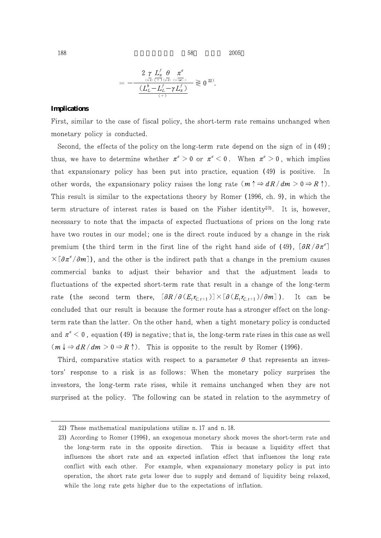$188$  2005

$$
=-\frac{2\underset{\scriptscriptstyle{\left(\frac{L}{c\mathfrak{D}}\right)}\left(\frac{L}{+}\right)\,\left(\frac{L}{c\mathfrak{D}}\right)}{2}}{\frac{\left(L^b_L-L^f_L-\gamma\,L^f_\pi\right)}{\left(+\right)}}\gtrless\mathfrak{g}^{22}}.
$$

#### **Implications**

First, similar to the case of fiscal policy, the short-term rate remains unchanged when monetary policy is conducted.

Second, the effects of the policy on the long-term rate depend on the sign of in  $(49)$ ; thus, we have to determine whether  $\pi^e > 0$  or  $\pi^e < 0$ . When  $\pi^e > 0$ , which implies that expansionary policy has been put into practice, equation (49) is positive. In other words, the expansionary policy raises the long rate  $(m \uparrow \Rightarrow dR/dm > 0 \Rightarrow R \uparrow)$ . This result is similar to the expectations theory by Romer (1996, ch. 9), in which the term structure of interest rates is based on the Fisher identity<sup>23</sup>. It is, however, necessary to note that the impacts of expected fluctuations of prices on the long rate have two routes in our model; one is the direct route induced by a change in the risk premium (the third term in the first line of the right hand side of (49),  $\left[ \frac{\partial R}{\partial \pi} \right]$  $\times$  [ $\partial \pi^e/\partial m$ ]), and the other is the indirect path that a change in the premium causes commercial banks to adjust their behavior and that the adjustment leads to fluctuations of the expected short-term rate that result in a change of the long-term rate (the second term there,  $[\partial R/\partial (E_t r_{C,t+1})] \times [\partial (E_t r_{C,t+1})/\partial m]$ ). It can be concluded that our result is because the former route has a stronger effect on the longterm rate than the latter. On the other hand, when a tight monetary policy is conducted and  $\pi^e$  < 0, equation (49) is negative; that is, the long-term rate rises in this case as well  $(m \downarrow \Rightarrow dR/dm > 0 \Rightarrow R \uparrow)$ . This is opposite to the result by Romer (1996).

Third, comparative statics with respect to a parameter  $\theta$  that represents an investors' response to a risk is as follows: When the monetary policy surprises the investors, the long-term rate rises, while it remains unchanged when they are not surprised at the policy. The following can be stated in relation to the asymmetry of

<sup>22)</sup> These mathematical manipulations utilize n. 17 and n. 18.

<sup>23)</sup> According to Romer (1996), an exogenous monetary shock moves the short-term rate and the long-term rate in the opposite direction. This is because a liquidity effect that influences the short rate and an expected inflation effect that influences the long rate conflict with each other. For example, when expansionary monetary policy is put into operation, the short rate gets lower due to supply and demand of liquidity being relaxed, while the long rate gets higher due to the expectations of inflation.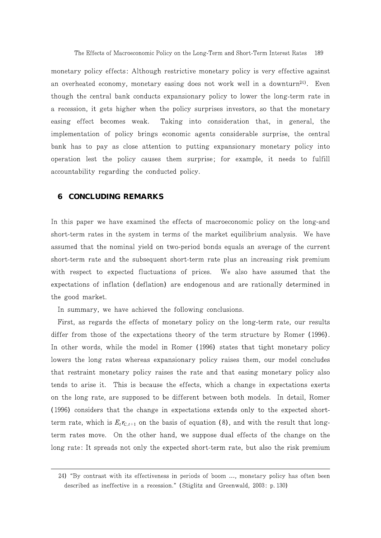monetary policy effects: Although restrictive monetary policy is very effective against an overheated economy, monetary easing does not work well in a downturn<sup>24</sup>. Even though the central bank conducts expansionary policy to lower the long-term rate in a recession, it gets higher when the policy surprises investors, so that the monetary easing effect becomes weak. Taking into consideration that, in general, the implementation of policy brings economic agents considerable surprise, the central bank has to pay as close attention to putting expansionary monetary policy into operation lest the policy causes them surprise; for example, it needs to fulfill accountability regarding the conducted policy.

# **6 CONCLUDING REMARKS**

In this paper we have examined the effects of macroeconomic policy on the long-and short-term rates in the system in terms of the market equilibrium analysis. We have assumed that the nominal yield on two-period bonds equals an average of the current short-term rate and the subsequent short-term rate plus an increasing risk premium with respect to expected fluctuations of prices. We also have assumed that the expectations of inflation (deflation) are endogenous and are rationally determined in the good market.

In summary, we have achieved the following conclusions.

First, as regards the effects of monetary policy on the long-term rate, our results differ from those of the expectations theory of the term structure by Romer (1996). In other words, while the model in Romer (1996) states that tight monetary policy lowers the long rates whereas expansionary policy raises them, our model concludes that restraint monetary policy raises the rate and that easing monetary policy also tends to arise it. This is because the effects, which a change in expectations exerts on the long rate, are supposed to be different between both models. In detail, Romer (1996) considers that the change in expectations extends only to the expected shortterm rate, which is  $E_t r_{C_t+1}$  on the basis of equation (8), and with the result that longterm rates move. On the other hand, we suppose dual effects of the change on the long rate: It spreads not only the expected short-term rate, but also the risk premium

<sup>24) &</sup>quot;By contrast with its effectiveness in periods of boom ..., monetary policy has often been described as ineffective in a recession." (Stiglitz and Greenwald, 2003: p. 130)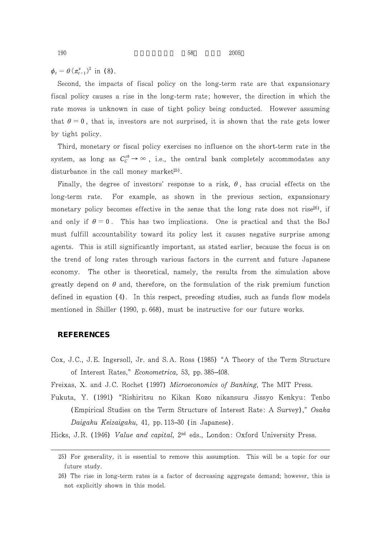$\phi_t = \theta (\pi_{t+1}^e)^2$  in (8).

Second, the impacts of fiscal policy on the long-term rate are that expansionary fiscal policy causes a rise in the long-term rate; however, the direction in which the rate moves is unknown in case of tight policy being conducted. However assuming that  $\theta = 0$ , that is, investors are not surprised, it is shown that the rate gets lower by tight policy.

Third, monetary or fiscal policy exercises no influence on the short-term rate in the system, as long as  $C_c^{co} \rightarrow \infty$ , i.e., the central bank completely accommodates any disturbance in the call money market<sup>25)</sup>.

Finally, the degree of investors' response to a risk,  $\theta$ , has crucial effects on the long-term rate. For example, as shown in the previous section, expansionary monetary policy becomes effective in the sense that the long rate does not rise<sup>26</sup>, if and only if  $\theta = 0$ . This has two implications. One is practical and that the BoJ must fulfill accountability toward its policy lest it causes negative surprise among agents. This is still significantly important, as stated earlier, because the focus is on the trend of long rates through various factors in the current and future Japanese economy. The other is theoretical, namely, the results from the simulation above greatly depend on  $\theta$  and, therefore, on the formulation of the risk premium function defined in equation  $(4)$ . In this respect, preceding studies, such as funds flow models mentioned in Shiller (1990, p. 668), must be instructive for our future works.

# **REFERENCES**

Cox, J.C., J.E. Ingersoll, Jr. and S.A. Ross (1985) "A Theory of the Term Structure of Interest Rates," *Econometrica*, 53, pp. 385 408.

Freixas, X. and J.C. Rochet (1997) Microeconomics of Banking, The MIT Press.

Fukuta, Y. (1991) "Rishiritsu no Kikan Kozo nikansuru Jissyo Kenkyu: Tenbo (Empirical Studies on the Term Structure of Interest Rate: A Survey)," Osaka Daigaku Keizaigaku, 41, pp. 113 30 (in Japanese).

Hicks, J.R. (1946) Value and capital, 2<sup>nd</sup> eds., London: Oxford University Press.

<sup>25)</sup> For generality, it is essential to remove this assumption. This will be a topic for our future study.

<sup>26)</sup> The rise in long-term rates is a factor of decreasing aggregate demand; however, this is not explicitly shown in this model.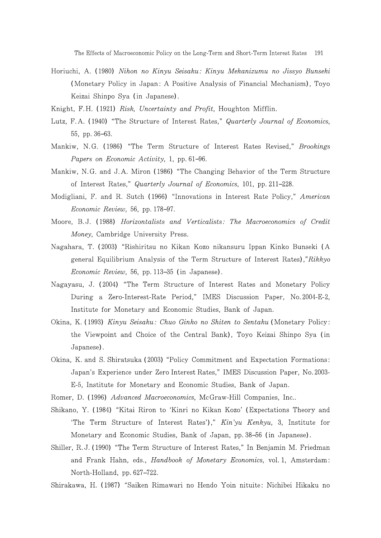The Effects of Macroeconomic Policy on the Long-Term and Short-Term Interest Rates 191

- Horiuchi, A. (1980) Nihon no Kinyu Seisaku: Kinyu Mekanizumu no Jissyo Bunseki (Monetary Policy in Japan: A Positive Analysis of Financial Mechanism), Toyo Keizai Shinpo Sya (in Japanese).
- Knight, F.H. (1921) Risk, Uncertainty and Profit, Houghton Mifflin.
- Lutz, F.A. (1940) "The Structure of Interest Rates," Quarterly Journal of Economics, 55, pp. 36 63.
- Mankiw, N.G. (1986) "The Term Structure of Interest Rates Revised," Brookings Papers on Economic Activity, 1, pp. 61 96.
- Mankiw, N.G. and J.A. Miron (1986) "The Changing Behavior of the Term Structure of Interest Rates," *Quarterly Journal of Economics*, 101, pp. 211 228.
- Modigliani, F. and R. Sutch (1966) "Innovations in Interest Rate Policy," American *Economic Review*, 56, pp. 178 97.
- Moore, B.J. (1988) Horizontalists and Verticalists: The Macroeconomics of Credit Money, Cambridge University Press.
- Nagahara, T. (2003) "Rishiritsu no Kikan Kozo nikansuru Ippan Kinko Bunseki (A general Equilibrium Analysis of the Term Structure of Interest Rates),"Rikkyo *Economic Review*, 56, pp. 113 35 (in Japanese).
- Nagayasu, J. (2004) "The Term Structure of Interest Rates and Monetary Policy During a Zero-Interest-Rate Period," IMES Discussion Paper, No. 2004-E-2, Institute for Monetary and Economic Studies, Bank of Japan.
- Okina, K. (1993) Kinyu Seisaku: Chuo Ginko no Shiten to Sentaku (Monetary Policy: the Viewpoint and Choice of the Central Bank), Toyo Keizai Shinpo Sya (in Japanese).
- Okina, K. and S. Shiratsuka (2003) "Policy Commitment and Expectation Formations: Japan's Experience under Zero Interest Rates," IMES Discussion Paper, No. 2003-E-5, Institute for Monetary and Economic Studies, Bank of Japan.

Romer, D. (1996) Advanced Macroeconomics, McGraw-Hill Companies, Inc..

- Shikano, Y. (1984) "Kitai Riron to 'Kinri no Kikan Kozo' (Expectations Theory and 'The Term Structure of Interest Rates')," Kin'yu Kenkyu, 3, Institute for Monetary and Economic Studies, Bank of Japan, pp. 38 56 (in Japanese).
- Shiller, R.J. (1990) "The Term Structure of Interest Rates," In Benjamin M. Friedman and Frank Hahn, eds., *Handbook of Monetary Economics*, vol. 1, Amsterdam: North-Holland, pp. 627 722.
- Shirakawa, H. (1987) "Saiken Rimawari no Hendo Yoin nituite: Nichibei Hikaku no